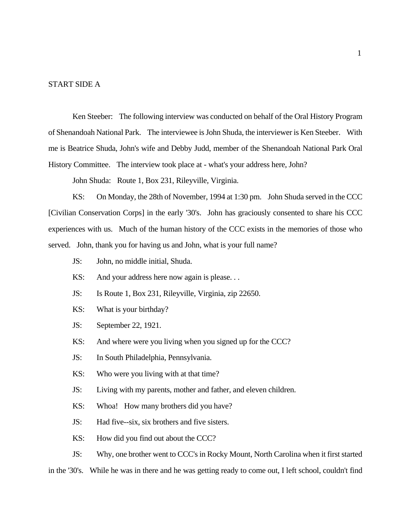### START SIDE A

Ken Steeber: The following interview was conducted on behalf of the Oral History Program of Shenandoah National Park. The interviewee is John Shuda, the interviewer is Ken Steeber. With me is Beatrice Shuda, John's wife and Debby Judd, member of the Shenandoah National Park Oral History Committee. The interview took place at - what's your address here, John?

John Shuda: Route 1, Box 231, Rileyville, Virginia.

KS: On Monday, the 28th of November, 1994 at 1:30 pm. John Shuda served in the CCC [Civilian Conservation Corps] in the early '30's. John has graciously consented to share his CCC experiences with us. Much of the human history of the CCC exists in the memories of those who served. John, thank you for having us and John, what is your full name?

- JS: John, no middle initial, Shuda.
- KS: And your address here now again is please...
- JS: Is Route 1, Box 231, Rileyville, Virginia, zip 22650.
- KS: What is your birthday?
- JS: September 22, 1921.
- KS: And where were you living when you signed up for the CCC?
- JS: In South Philadelphia, Pennsylvania.
- KS: Who were you living with at that time?
- JS: Living with my parents, mother and father, and eleven children.
- KS: Whoa! How many brothers did you have?
- JS: Had five--six, six brothers and five sisters.
- KS: How did you find out about the CCC?

JS: Why, one brother went to CCC's in Rocky Mount, North Carolina when it first started

in the '30's. While he was in there and he was getting ready to come out, I left school, couldn't find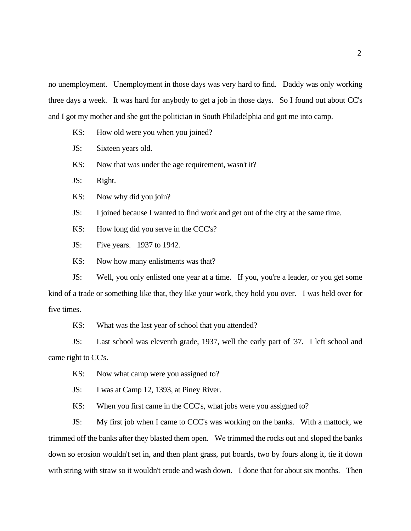no unemployment. Unemployment in those days was very hard to find. Daddy was only working three days a week. It was hard for anybody to get a job in those days. So I found out about CC's and I got my mother and she got the politician in South Philadelphia and got me into camp.

- KS: How old were you when you joined?
- JS: Sixteen years old.
- KS: Now that was under the age requirement, wasn't it?
- JS: Right.
- KS: Now why did you join?
- JS: I joined because I wanted to find work and get out of the city at the same time.
- KS: How long did you serve in the CCC's?
- JS: Five years. 1937 to 1942.
- KS: Now how many enlistments was that?

JS: Well, you only enlisted one year at a time. If you, you're a leader, or you get some kind of a trade or something like that, they like your work, they hold you over. I was held over for five times.

KS: What was the last year of school that you attended?

JS: Last school was eleventh grade, 1937, well the early part of '37. I left school and came right to CC's.

- KS: Now what camp were you assigned to?
- JS: I was at Camp 12, 1393, at Piney River.

KS: When you first came in the CCC's, what jobs were you assigned to?

JS: My first job when I came to CCC's was working on the banks. With a mattock, we trimmed off the banks after they blasted them open. We trimmed the rocks out and sloped the banks down so erosion wouldn't set in, and then plant grass, put boards, two by fours along it, tie it down with string with straw so it wouldn't erode and wash down. I done that for about six months. Then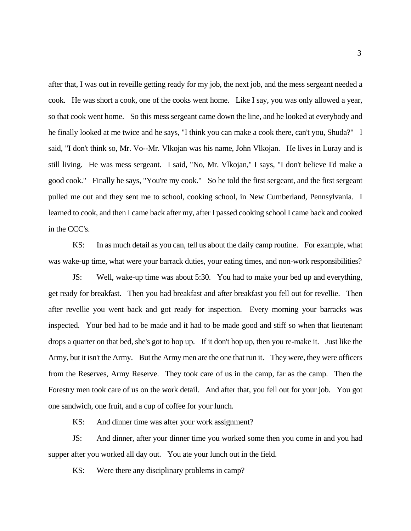after that, I was out in reveille getting ready for my job, the next job, and the mess sergeant needed a cook. He was short a cook, one of the cooks went home. Like I say, you was only allowed a year, so that cook went home. So this mess sergeant came down the line, and he looked at everybody and he finally looked at me twice and he says, "I think you can make a cook there, can't you, Shuda?" I said, "I don't think so, Mr. Vo--Mr. Vlkojan was his name, John Vlkojan. He lives in Luray and is still living. He was mess sergeant. I said, "No, Mr. Vlkojan," I says, "I don't believe I'd make a good cook." Finally he says, "You're my cook." So he told the first sergeant, and the first sergeant pulled me out and they sent me to school, cooking school, in New Cumberland, Pennsylvania. I learned to cook, and then I came back after my, after I passed cooking school I came back and cooked in the CCC's.

KS: In as much detail as you can, tell us about the daily camp routine. For example, what was wake-up time, what were your barrack duties, your eating times, and non-work responsibilities?

JS: Well, wake-up time was about 5:30. You had to make your bed up and everything, get ready for breakfast. Then you had breakfast and after breakfast you fell out for revellie. Then after revellie you went back and got ready for inspection. Every morning your barracks was inspected. Your bed had to be made and it had to be made good and stiff so when that lieutenant drops a quarter on that bed, she's got to hop up. If it don't hop up, then you re-make it. Just like the Army, but it isn't the Army. But the Army men are the one that run it. They were, they were officers from the Reserves, Army Reserve. They took care of us in the camp, far as the camp. Then the Forestry men took care of us on the work detail. And after that, you fell out for your job. You got one sandwich, one fruit, and a cup of coffee for your lunch.

KS: And dinner time was after your work assignment?

JS: And dinner, after your dinner time you worked some then you come in and you had supper after you worked all day out. You ate your lunch out in the field.

KS: Were there any disciplinary problems in camp?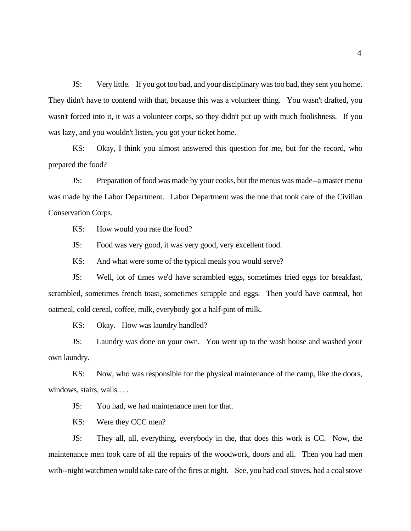JS: Very little. If you got too bad, and your disciplinary was too bad, they sent you home. They didn't have to contend with that, because this was a volunteer thing. You wasn't drafted, you wasn't forced into it, it was a volunteer corps, so they didn't put up with much foolishness. If you was lazy, and you wouldn't listen, you got your ticket home.

KS: Okay, I think you almost answered this question for me, but for the record, who prepared the food?

JS: Preparation of food was made by your cooks, but the menus was made--a master menu was made by the Labor Department. Labor Department was the one that took care of the Civilian Conservation Corps.

KS: How would you rate the food?

JS: Food was very good, it was very good, very excellent food.

KS: And what were some of the typical meals you would serve?

JS: Well, lot of times we'd have scrambled eggs, sometimes fried eggs for breakfast, scrambled, sometimes french toast, sometimes scrapple and eggs. Then you'd have oatmeal, hot oatmeal, cold cereal, coffee, milk, everybody got a half-pint of milk.

KS: Okay. How was laundry handled?

JS: Laundry was done on your own. You went up to the wash house and washed your own laundry.

KS: Now, who was responsible for the physical maintenance of the camp, like the doors, windows, stairs, walls . . .

JS: You had, we had maintenance men for that.

KS: Were they CCC men?

JS: They all, all, everything, everybody in the, that does this work is CC. Now, the maintenance men took care of all the repairs of the woodwork, doors and all. Then you had men with--night watchmen would take care of the fires at night. See, you had coal stoves, had a coal stove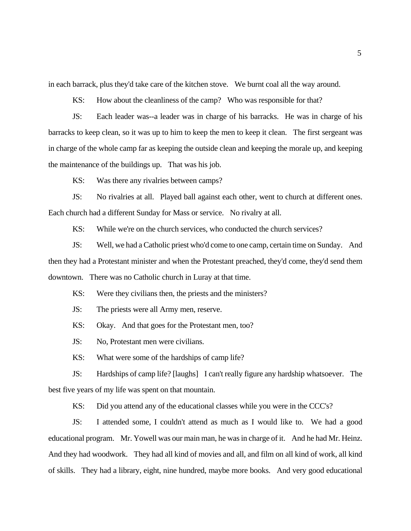in each barrack, plus they'd take care of the kitchen stove. We burnt coal all the way around.

KS: How about the cleanliness of the camp? Who was responsible for that?

JS: Each leader was--a leader was in charge of his barracks. He was in charge of his barracks to keep clean, so it was up to him to keep the men to keep it clean. The first sergeant was in charge of the whole camp far as keeping the outside clean and keeping the morale up, and keeping the maintenance of the buildings up. That was his job.

KS: Was there any rivalries between camps?

JS: No rivalries at all. Played ball against each other, went to church at different ones. Each church had a different Sunday for Mass or service. No rivalry at all.

KS: While we're on the church services, who conducted the church services?

JS: Well, we had a Catholic priest who'd come to one camp, certain time on Sunday. And then they had a Protestant minister and when the Protestant preached, they'd come, they'd send them downtown. There was no Catholic church in Luray at that time.

KS: Were they civilians then, the priests and the ministers?

JS: The priests were all Army men, reserve.

KS: Okay. And that goes for the Protestant men, too?

JS: No, Protestant men were civilians.

KS: What were some of the hardships of camp life?

JS: Hardships of camp life? [laughs] I can't really figure any hardship whatsoever. The best five years of my life was spent on that mountain.

KS: Did you attend any of the educational classes while you were in the CCC's?

JS: I attended some, I couldn't attend as much as I would like to. We had a good educational program. Mr. Yowell was our main man, he was in charge of it. And he had Mr. Heinz. And they had woodwork. They had all kind of movies and all, and film on all kind of work, all kind of skills. They had a library, eight, nine hundred, maybe more books. And very good educational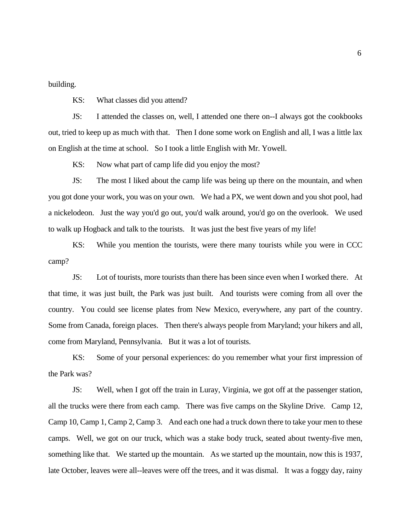building.

KS: What classes did you attend?

JS: I attended the classes on, well, I attended one there on--I always got the cookbooks out, tried to keep up as much with that. Then I done some work on English and all, I was a little lax on English at the time at school. So I took a little English with Mr. Yowell.

KS: Now what part of camp life did you enjoy the most?

JS: The most I liked about the camp life was being up there on the mountain, and when you got done your work, you was on your own. We had a PX, we went down and you shot pool, had a nickelodeon. Just the way you'd go out, you'd walk around, you'd go on the overlook. We used to walk up Hogback and talk to the tourists. It was just the best five years of my life!

KS: While you mention the tourists, were there many tourists while you were in CCC camp?

JS: Lot of tourists, more tourists than there has been since even when I worked there. At that time, it was just built, the Park was just built. And tourists were coming from all over the country. You could see license plates from New Mexico, everywhere, any part of the country. Some from Canada, foreign places. Then there's always people from Maryland; your hikers and all, come from Maryland, Pennsylvania. But it was a lot of tourists.

KS: Some of your personal experiences: do you remember what your first impression of the Park was?

JS: Well, when I got off the train in Luray, Virginia, we got off at the passenger station, all the trucks were there from each camp. There was five camps on the Skyline Drive. Camp 12, Camp 10, Camp 1, Camp 2, Camp 3. And each one had a truck down there to take your men to these camps. Well, we got on our truck, which was a stake body truck, seated about twenty-five men, something like that. We started up the mountain. As we started up the mountain, now this is 1937, late October, leaves were all--leaves were off the trees, and it was dismal. It was a foggy day, rainy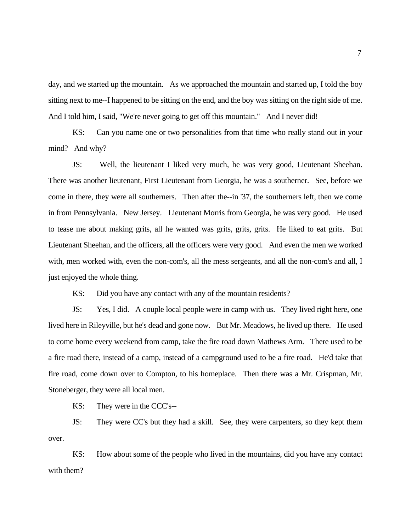day, and we started up the mountain. As we approached the mountain and started up, I told the boy sitting next to me--I happened to be sitting on the end, and the boy was sitting on the right side of me. And I told him, I said, "We're never going to get off this mountain." And I never did!

KS: Can you name one or two personalities from that time who really stand out in your mind? And why?

JS: Well, the lieutenant I liked very much, he was very good, Lieutenant Sheehan. There was another lieutenant, First Lieutenant from Georgia, he was a southerner. See, before we come in there, they were all southerners. Then after the--in '37, the southerners left, then we come in from Pennsylvania. New Jersey. Lieutenant Morris from Georgia, he was very good. He used to tease me about making grits, all he wanted was grits, grits, grits. He liked to eat grits. But Lieutenant Sheehan, and the officers, all the officers were very good. And even the men we worked with, men worked with, even the non-com's, all the mess sergeants, and all the non-com's and all, I just enjoyed the whole thing.

KS: Did you have any contact with any of the mountain residents?

JS: Yes, I did. A couple local people were in camp with us. They lived right here, one lived here in Rileyville, but he's dead and gone now. But Mr. Meadows, he lived up there. He used to come home every weekend from camp, take the fire road down Mathews Arm. There used to be a fire road there, instead of a camp, instead of a campground used to be a fire road. He'd take that fire road, come down over to Compton, to his homeplace. Then there was a Mr. Crispman, Mr. Stoneberger, they were all local men.

KS: They were in the CCC's--

JS: They were CC's but they had a skill. See, they were carpenters, so they kept them over.

KS: How about some of the people who lived in the mountains, did you have any contact with them?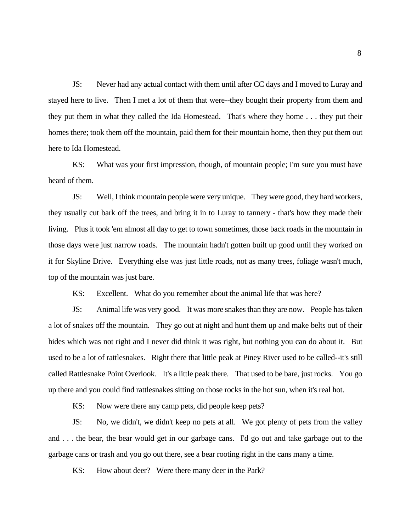JS: Never had any actual contact with them until after CC days and I moved to Luray and stayed here to live. Then I met a lot of them that were--they bought their property from them and they put them in what they called the Ida Homestead. That's where they home . . . they put their homes there; took them off the mountain, paid them for their mountain home, then they put them out here to Ida Homestead.

KS: What was your first impression, though, of mountain people; I'm sure you must have heard of them.

JS: Well, I think mountain people were very unique. They were good, they hard workers, they usually cut bark off the trees, and bring it in to Luray to tannery - that's how they made their living. Plus it took 'em almost all day to get to town sometimes, those back roads in the mountain in those days were just narrow roads. The mountain hadn't gotten built up good until they worked on it for Skyline Drive. Everything else was just little roads, not as many trees, foliage wasn't much, top of the mountain was just bare.

KS: Excellent. What do you remember about the animal life that was here?

JS: Animal life was very good. It was more snakes than they are now. People has taken a lot of snakes off the mountain. They go out at night and hunt them up and make belts out of their hides which was not right and I never did think it was right, but nothing you can do about it. But used to be a lot of rattlesnakes. Right there that little peak at Piney River used to be called--it's still called Rattlesnake Point Overlook. It's a little peak there. That used to be bare, just rocks. You go up there and you could find rattlesnakes sitting on those rocks in the hot sun, when it's real hot.

KS: Now were there any camp pets, did people keep pets?

JS: No, we didn't, we didn't keep no pets at all. We got plenty of pets from the valley and . . . the bear, the bear would get in our garbage cans. I'd go out and take garbage out to the garbage cans or trash and you go out there, see a bear rooting right in the cans many a time.

KS: How about deer? Were there many deer in the Park?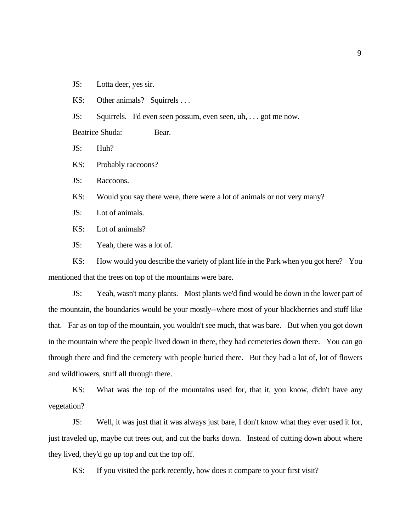JS: Lotta deer, yes sir.

KS: Other animals? Squirrels ...

JS: Squirrels. I'd even seen possum, even seen, uh, . . . got me now.

Beatrice Shuda: Bear.

JS: Huh?

KS: Probably raccoons?

JS: Raccoons.

KS: Would you say there were, there were a lot of animals or not very many?

JS: Lot of animals.

KS: Lot of animals?

JS: Yeah, there was a lot of.

KS: How would you describe the variety of plant life in the Park when you got here? You mentioned that the trees on top of the mountains were bare.

JS: Yeah, wasn't many plants. Most plants we'd find would be down in the lower part of the mountain, the boundaries would be your mostly--where most of your blackberries and stuff like that. Far as on top of the mountain, you wouldn't see much, that was bare. But when you got down in the mountain where the people lived down in there, they had cemeteries down there. You can go through there and find the cemetery with people buried there. But they had a lot of, lot of flowers and wildflowers, stuff all through there.

KS: What was the top of the mountains used for, that it, you know, didn't have any vegetation?

JS: Well, it was just that it was always just bare, I don't know what they ever used it for, just traveled up, maybe cut trees out, and cut the barks down. Instead of cutting down about where they lived, they'd go up top and cut the top off.

KS: If you visited the park recently, how does it compare to your first visit?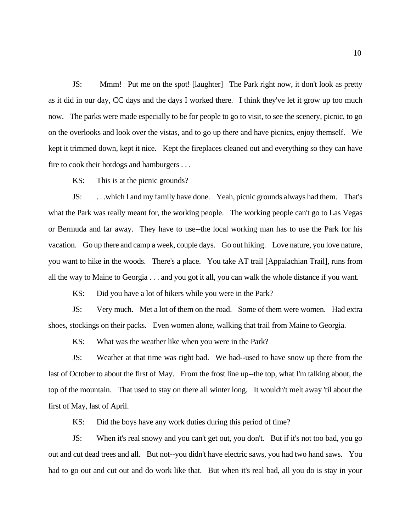JS: Mmm! Put me on the spot! [laughter] The Park right now, it don't look as pretty as it did in our day, CC days and the days I worked there. I think they've let it grow up too much now. The parks were made especially to be for people to go to visit, to see the scenery, picnic, to go on the overlooks and look over the vistas, and to go up there and have picnics, enjoy themself. We kept it trimmed down, kept it nice. Kept the fireplaces cleaned out and everything so they can have fire to cook their hotdogs and hamburgers . . .

KS: This is at the picnic grounds?

JS: . . .which I and my family have done. Yeah, picnic grounds always had them. That's what the Park was really meant for, the working people. The working people can't go to Las Vegas or Bermuda and far away. They have to use--the local working man has to use the Park for his vacation. Go up there and camp a week, couple days. Go out hiking. Love nature, you love nature, you want to hike in the woods. There's a place. You take AT trail [Appalachian Trail], runs from all the way to Maine to Georgia . . . and you got it all, you can walk the whole distance if you want.

KS: Did you have a lot of hikers while you were in the Park?

JS: Very much. Met a lot of them on the road. Some of them were women. Had extra shoes, stockings on their packs. Even women alone, walking that trail from Maine to Georgia.

KS: What was the weather like when you were in the Park?

JS: Weather at that time was right bad. We had--used to have snow up there from the last of October to about the first of May. From the frost line up--the top, what I'm talking about, the top of the mountain. That used to stay on there all winter long. It wouldn't melt away 'til about the first of May, last of April.

KS: Did the boys have any work duties during this period of time?

JS: When it's real snowy and you can't get out, you don't. But if it's not too bad, you go out and cut dead trees and all. But not--you didn't have electric saws, you had two hand saws. You had to go out and cut out and do work like that. But when it's real bad, all you do is stay in your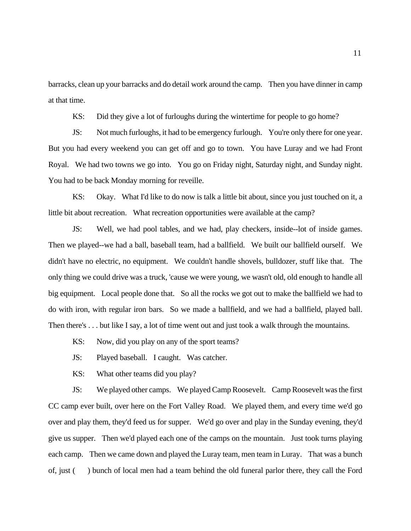barracks, clean up your barracks and do detail work around the camp. Then you have dinner in camp at that time.

KS: Did they give a lot of furloughs during the wintertime for people to go home?

JS: Not much furloughs, it had to be emergency furlough. You're only there for one year. But you had every weekend you can get off and go to town. You have Luray and we had Front Royal. We had two towns we go into. You go on Friday night, Saturday night, and Sunday night. You had to be back Monday morning for reveille.

KS: Okay. What I'd like to do now is talk a little bit about, since you just touched on it, a little bit about recreation. What recreation opportunities were available at the camp?

JS: Well, we had pool tables, and we had, play checkers, inside--lot of inside games. Then we played--we had a ball, baseball team, had a ballfield. We built our ballfield ourself. We didn't have no electric, no equipment. We couldn't handle shovels, bulldozer, stuff like that. The only thing we could drive was a truck, 'cause we were young, we wasn't old, old enough to handle all big equipment. Local people done that. So all the rocks we got out to make the ballfield we had to do with iron, with regular iron bars. So we made a ballfield, and we had a ballfield, played ball. Then there's . . . but like I say, a lot of time went out and just took a walk through the mountains.

KS: Now, did you play on any of the sport teams?

JS: Played baseball. I caught. Was catcher.

KS: What other teams did you play?

JS: We played other camps. We played Camp Roosevelt. Camp Roosevelt was the first CC camp ever built, over here on the Fort Valley Road. We played them, and every time we'd go over and play them, they'd feed us for supper. We'd go over and play in the Sunday evening, they'd give us supper. Then we'd played each one of the camps on the mountain. Just took turns playing each camp. Then we came down and played the Luray team, men team in Luray. That was a bunch of, just ( ) bunch of local men had a team behind the old funeral parlor there, they call the Ford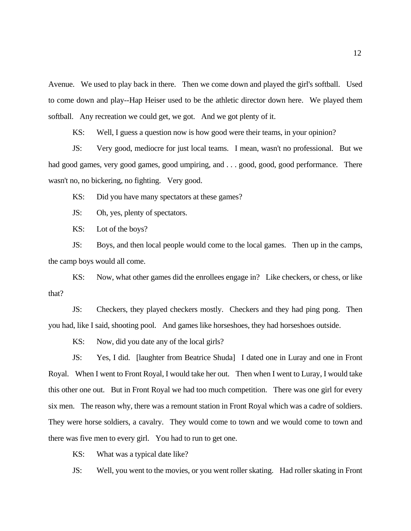Avenue. We used to play back in there. Then we come down and played the girl's softball. Used to come down and play--Hap Heiser used to be the athletic director down here. We played them softball. Any recreation we could get, we got. And we got plenty of it.

KS: Well, I guess a question now is how good were their teams, in your opinion?

JS: Very good, mediocre for just local teams. I mean, wasn't no professional. But we had good games, very good games, good umpiring, and . . . good, good, good performance. There wasn't no, no bickering, no fighting. Very good.

KS: Did you have many spectators at these games?

JS: Oh, yes, plenty of spectators.

KS: Lot of the boys?

JS: Boys, and then local people would come to the local games. Then up in the camps, the camp boys would all come.

KS: Now, what other games did the enrollees engage in? Like checkers, or chess, or like that?

JS: Checkers, they played checkers mostly. Checkers and they had ping pong. Then you had, like I said, shooting pool. And games like horseshoes, they had horseshoes outside.

KS: Now, did you date any of the local girls?

JS: Yes, I did. [laughter from Beatrice Shuda] I dated one in Luray and one in Front Royal. When I went to Front Royal, I would take her out. Then when I went to Luray, I would take this other one out. But in Front Royal we had too much competition. There was one girl for every six men. The reason why, there was a remount station in Front Royal which was a cadre of soldiers. They were horse soldiers, a cavalry. They would come to town and we would come to town and there was five men to every girl. You had to run to get one.

KS: What was a typical date like?

JS: Well, you went to the movies, or you went roller skating. Had roller skating in Front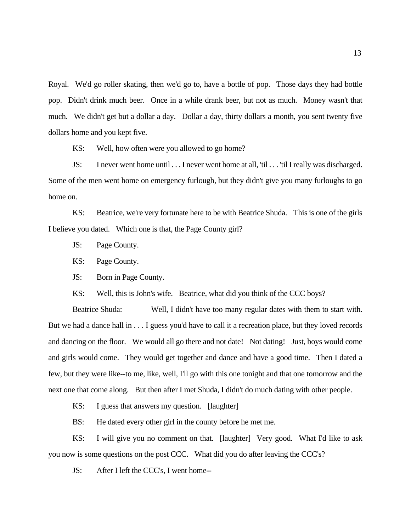Royal. We'd go roller skating, then we'd go to, have a bottle of pop. Those days they had bottle pop. Didn't drink much beer. Once in a while drank beer, but not as much. Money wasn't that much. We didn't get but a dollar a day. Dollar a day, thirty dollars a month, you sent twenty five dollars home and you kept five.

KS: Well, how often were you allowed to go home?

JS: I never went home until . . . I never went home at all, 'til . . . 'til I really was discharged. Some of the men went home on emergency furlough, but they didn't give you many furloughs to go home on.

KS: Beatrice, we're very fortunate here to be with Beatrice Shuda. This is one of the girls I believe you dated. Which one is that, the Page County girl?

JS: Page County.

KS: Page County.

JS: Born in Page County.

KS: Well, this is John's wife. Beatrice, what did you think of the CCC boys?

Beatrice Shuda: Well, I didn't have too many regular dates with them to start with. But we had a dance hall in . . . I guess you'd have to call it a recreation place, but they loved records and dancing on the floor. We would all go there and not date! Not dating! Just, boys would come and girls would come. They would get together and dance and have a good time. Then I dated a few, but they were like--to me, like, well, I'll go with this one tonight and that one tomorrow and the next one that come along. But then after I met Shuda, I didn't do much dating with other people.

KS: I guess that answers my question. [laughter]

BS: He dated every other girl in the county before he met me.

KS: I will give you no comment on that. [laughter] Very good. What I'd like to ask you now is some questions on the post CCC. What did you do after leaving the CCC's?

JS: After I left the CCC's, I went home--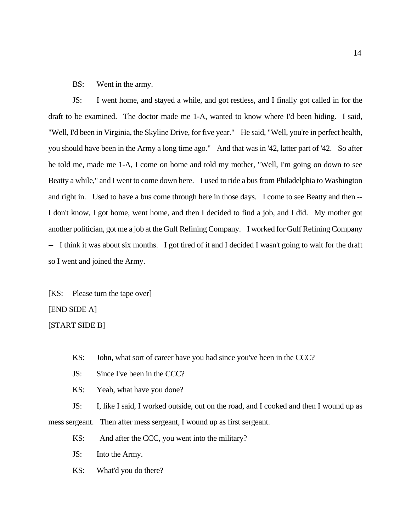### BS: Went in the army.

JS: I went home, and stayed a while, and got restless, and I finally got called in for the draft to be examined. The doctor made me 1-A, wanted to know where I'd been hiding. I said, "Well, I'd been in Virginia, the Skyline Drive, for five year." He said, "Well, you're in perfect health, you should have been in the Army a long time ago." And that was in '42, latter part of '42. So after he told me, made me 1-A, I come on home and told my mother, "Well, I'm going on down to see Beatty a while," and I went to come down here. I used to ride a bus from Philadelphia to Washington and right in. Used to have a bus come through here in those days. I come to see Beatty and then -- I don't know, I got home, went home, and then I decided to find a job, and I did. My mother got another politician, got me a job at the Gulf Refining Company. I worked for Gulf Refining Company -- I think it was about six months. I got tired of it and I decided I wasn't going to wait for the draft so I went and joined the Army.

[KS: Please turn the tape over]

### [END SIDE A]

[START SIDE B]

- KS: John, what sort of career have you had since you've been in the CCC?
- JS: Since I've been in the CCC?
- KS: Yeah, what have you done?

JS: I, like I said, I worked outside, out on the road, and I cooked and then I wound up as

mess sergeant. Then after mess sergeant, I wound up as first sergeant.

- KS: And after the CCC, you went into the military?
- JS: Into the Army.
- KS: What'd you do there?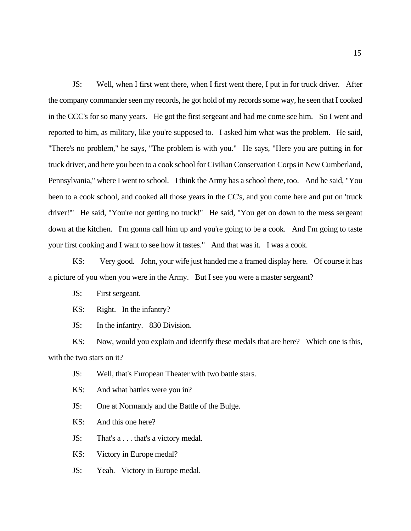JS: Well, when I first went there, when I first went there, I put in for truck driver. After the company commander seen my records, he got hold of my records some way, he seen that I cooked in the CCC's for so many years. He got the first sergeant and had me come see him. So I went and reported to him, as military, like you're supposed to. I asked him what was the problem. He said, "There's no problem," he says, "The problem is with you." He says, "Here you are putting in for truck driver, and here you been to a cook school for Civilian Conservation Corps in New Cumberland, Pennsylvania," where I went to school. I think the Army has a school there, too. And he said, "You been to a cook school, and cooked all those years in the CC's, and you come here and put on 'truck driver!'" He said, "You're not getting no truck!" He said, "You get on down to the mess sergeant down at the kitchen. I'm gonna call him up and you're going to be a cook. And I'm going to taste your first cooking and I want to see how it tastes." And that was it. I was a cook.

KS: Very good. John, your wife just handed me a framed display here. Of course it has a picture of you when you were in the Army. But I see you were a master sergeant?

JS: First sergeant.

KS: Right. In the infantry?

JS: In the infantry. 830 Division.

KS: Now, would you explain and identify these medals that are here? Which one is this, with the two stars on it?

- JS: Well, that's European Theater with two battle stars.
- KS: And what battles were you in?
- JS: One at Normandy and the Battle of the Bulge.
- KS: And this one here?
- JS: That's a . . . that's a victory medal.
- KS: Victory in Europe medal?
- JS: Yeah. Victory in Europe medal.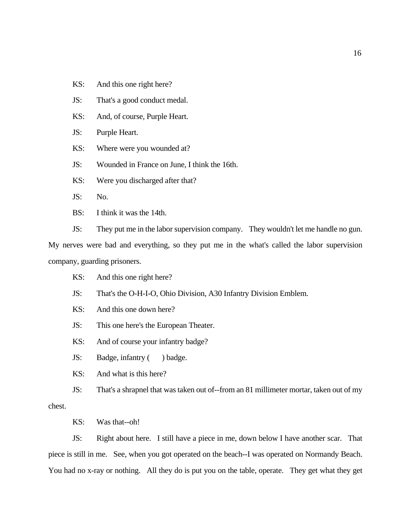- KS: And this one right here?
- JS: That's a good conduct medal.
- KS: And, of course, Purple Heart.
- JS: Purple Heart.
- KS: Where were you wounded at?
- JS: Wounded in France on June, I think the 16th.
- KS: Were you discharged after that?
- JS: No.
- BS: I think it was the 14th.
- JS: They put me in the labor supervision company. They wouldn't let me handle no gun.

My nerves were bad and everything, so they put me in the what's called the labor supervision company, guarding prisoners.

- KS: And this one right here?
- JS: That's the O-H-I-O, Ohio Division, A30 Infantry Division Emblem.
- KS: And this one down here?
- JS: This one here's the European Theater.
- KS: And of course your infantry badge?
- JS: Badge, infantry ( ) badge.
- KS: And what is this here?

JS: That's a shrapnel that was taken out of--from an 81 millimeter mortar, taken out of my chest.

KS: Was that--oh!

JS: Right about here. I still have a piece in me, down below I have another scar. That piece is still in me. See, when you got operated on the beach--I was operated on Normandy Beach. You had no x-ray or nothing. All they do is put you on the table, operate. They get what they get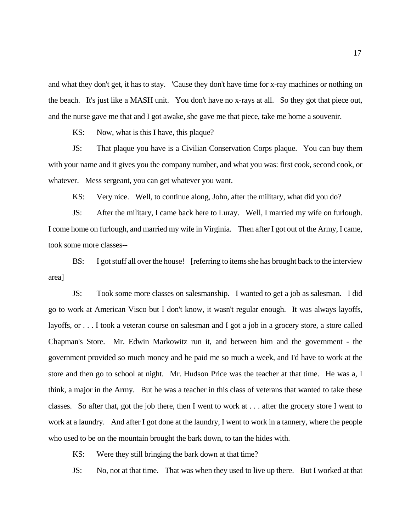and what they don't get, it has to stay. 'Cause they don't have time for x-ray machines or nothing on the beach. It's just like a MASH unit. You don't have no x-rays at all. So they got that piece out, and the nurse gave me that and I got awake, she gave me that piece, take me home a souvenir.

KS: Now, what is this I have, this plaque?

JS: That plaque you have is a Civilian Conservation Corps plaque. You can buy them with your name and it gives you the company number, and what you was: first cook, second cook, or whatever. Mess sergeant, you can get whatever you want.

KS: Very nice. Well, to continue along, John, after the military, what did you do?

JS: After the military, I came back here to Luray. Well, I married my wife on furlough. I come home on furlough, and married my wife in Virginia. Then after I got out of the Army, I came, took some more classes--

BS: I got stuff all over the house! [referring to items she has brought back to the interview area]

JS: Took some more classes on salesmanship. I wanted to get a job as salesman. I did go to work at American Visco but I don't know, it wasn't regular enough. It was always layoffs, layoffs, or . . . I took a veteran course on salesman and I got a job in a grocery store, a store called Chapman's Store. Mr. Edwin Markowitz run it, and between him and the government - the government provided so much money and he paid me so much a week, and I'd have to work at the store and then go to school at night. Mr. Hudson Price was the teacher at that time. He was a, I think, a major in the Army. But he was a teacher in this class of veterans that wanted to take these classes. So after that, got the job there, then I went to work at . . . after the grocery store I went to work at a laundry. And after I got done at the laundry, I went to work in a tannery, where the people who used to be on the mountain brought the bark down, to tan the hides with.

KS: Were they still bringing the bark down at that time?

JS: No, not at that time. That was when they used to live up there. But I worked at that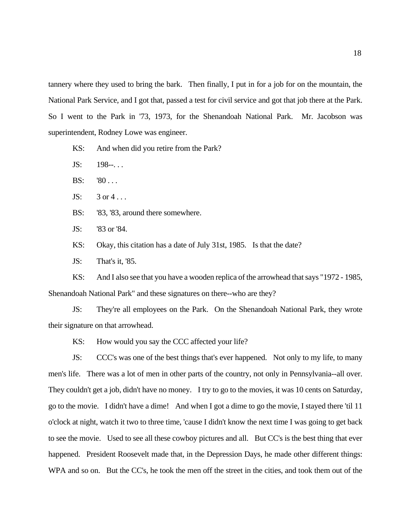tannery where they used to bring the bark. Then finally, I put in for a job for on the mountain, the National Park Service, and I got that, passed a test for civil service and got that job there at the Park. So I went to the Park in '73, 1973, for the Shenandoah National Park. Mr. Jacobson was superintendent, Rodney Lowe was engineer.

KS: And when did you retire from the Park?

 $JS: 198-.$ ...

 $BS: 80...$ 

 $JS: 3$  or  $4...$ 

BS: '83, '83, around there somewhere.

JS: '83 or '84.

KS: Okay, this citation has a date of July 31st, 1985. Is that the date?

JS: That's it, '85.

KS: And I also see that you have a wooden replica of the arrowhead that says "1972 - 1985, Shenandoah National Park" and these signatures on there--who are they?

JS: They're all employees on the Park. On the Shenandoah National Park, they wrote their signature on that arrowhead.

KS: How would you say the CCC affected your life?

JS: CCC's was one of the best things that's ever happened. Not only to my life, to many men's life. There was a lot of men in other parts of the country, not only in Pennsylvania--all over. They couldn't get a job, didn't have no money. I try to go to the movies, it was 10 cents on Saturday, go to the movie. I didn't have a dime! And when I got a dime to go the movie, I stayed there 'til 11 o'clock at night, watch it two to three time, 'cause I didn't know the next time I was going to get back to see the movie. Used to see all these cowboy pictures and all. But CC's is the best thing that ever happened. President Roosevelt made that, in the Depression Days, he made other different things: WPA and so on. But the CC's, he took the men off the street in the cities, and took them out of the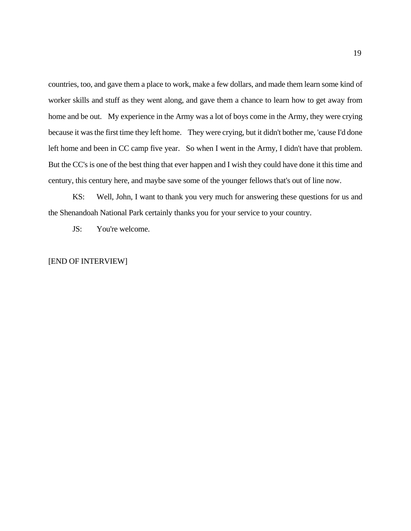countries, too, and gave them a place to work, make a few dollars, and made them learn some kind of worker skills and stuff as they went along, and gave them a chance to learn how to get away from home and be out. My experience in the Army was a lot of boys come in the Army, they were crying because it was the first time they left home. They were crying, but it didn't bother me, 'cause I'd done left home and been in CC camp five year. So when I went in the Army, I didn't have that problem. But the CC's is one of the best thing that ever happen and I wish they could have done it this time and century, this century here, and maybe save some of the younger fellows that's out of line now.

KS: Well, John, I want to thank you very much for answering these questions for us and the Shenandoah National Park certainly thanks you for your service to your country.

JS: You're welcome.

### [END OF INTERVIEW]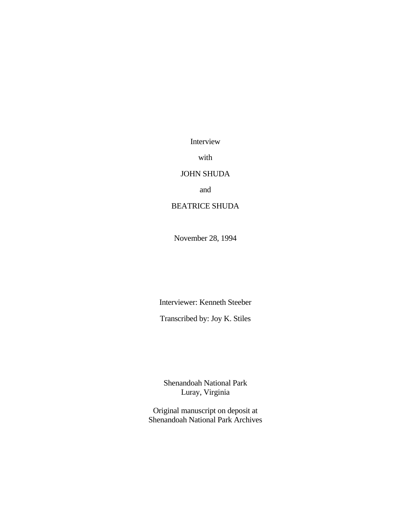Interview

with

## JOHN SHUDA

and

# BEATRICE SHUDA

November 28, 1994

Interviewer: Kenneth Steeber

Transcribed by: Joy K. Stiles

Shenandoah National Park Luray, Virginia

Original manuscript on deposit at Shenandoah National Park Archives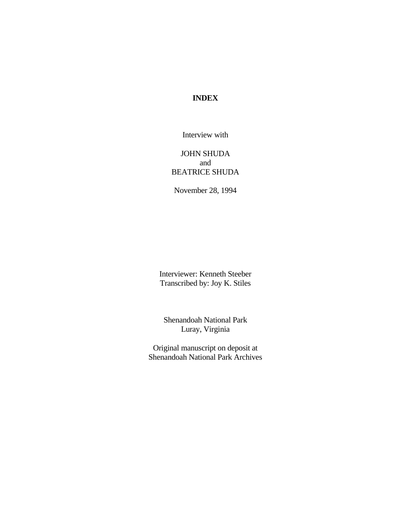## **INDEX**

Interview with

## JOHN SHUDA and BEATRICE SHUDA

November 28, 1994

Interviewer: Kenneth Steeber Transcribed by: Joy K. Stiles

Shenandoah National Park Luray, Virginia

Original manuscript on deposit at Shenandoah National Park Archives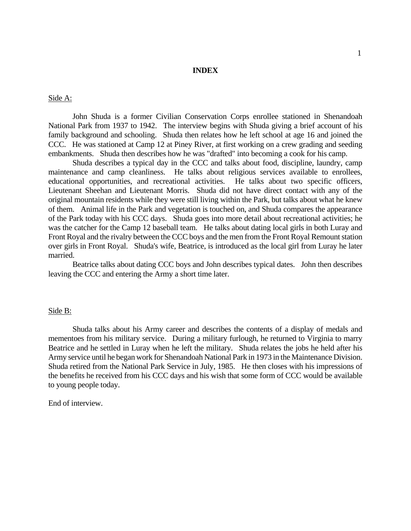### **INDEX**

Side A:

John Shuda is a former Civilian Conservation Corps enrollee stationed in Shenandoah National Park from 1937 to 1942. The interview begins with Shuda giving a brief account of his family background and schooling. Shuda then relates how he left school at age 16 and joined the CCC. He was stationed at Camp 12 at Piney River, at first working on a crew grading and seeding embankments. Shuda then describes how he was "drafted" into becoming a cook for his camp.

Shuda describes a typical day in the CCC and talks about food, discipline, laundry, camp maintenance and camp cleanliness. He talks about religious services available to enrollees, educational opportunities, and recreational activities. He talks about two specific officers, Lieutenant Sheehan and Lieutenant Morris. Shuda did not have direct contact with any of the original mountain residents while they were still living within the Park, but talks about what he knew of them. Animal life in the Park and vegetation is touched on, and Shuda compares the appearance of the Park today with his CCC days. Shuda goes into more detail about recreational activities; he was the catcher for the Camp 12 baseball team. He talks about dating local girls in both Luray and Front Royal and the rivalry between the CCC boys and the men from the Front Royal Remount station over girls in Front Royal. Shuda's wife, Beatrice, is introduced as the local girl from Luray he later married.

Beatrice talks about dating CCC boys and John describes typical dates. John then describes leaving the CCC and entering the Army a short time later.

#### Side B:

Shuda talks about his Army career and describes the contents of a display of medals and mementoes from his military service. During a military furlough, he returned to Virginia to marry Beatrice and he settled in Luray when he left the military. Shuda relates the jobs he held after his Army service until he began work for Shenandoah National Park in 1973 in the Maintenance Division. Shuda retired from the National Park Service in July, 1985. He then closes with his impressions of the benefits he received from his CCC days and his wish that some form of CCC would be available to young people today.

End of interview.